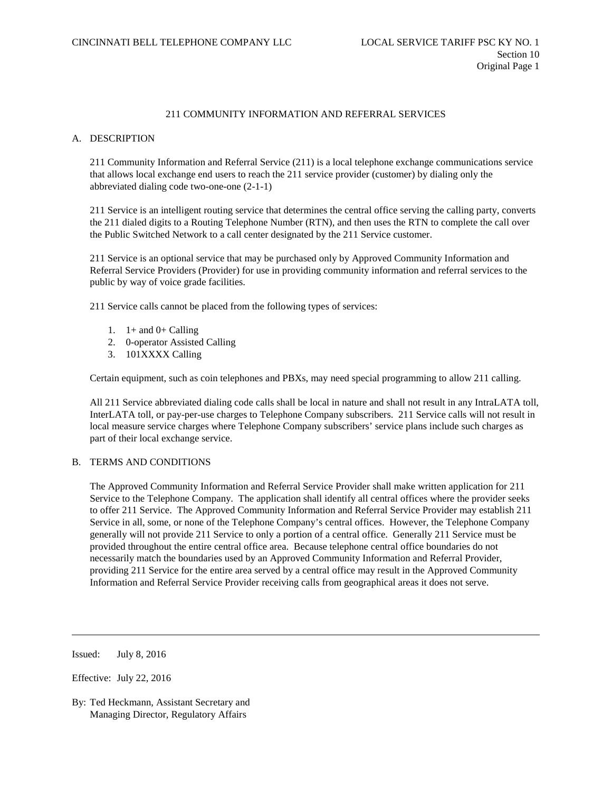### A. DESCRIPTION

211 Community Information and Referral Service (211) is a local telephone exchange communications service that allows local exchange end users to reach the 211 service provider (customer) by dialing only the abbreviated dialing code two-one-one (2-1-1)

211 Service is an intelligent routing service that determines the central office serving the calling party, converts the 211 dialed digits to a Routing Telephone Number (RTN), and then uses the RTN to complete the call over the Public Switched Network to a call center designated by the 211 Service customer.

211 Service is an optional service that may be purchased only by Approved Community Information and Referral Service Providers (Provider) for use in providing community information and referral services to the public by way of voice grade facilities.

211 Service calls cannot be placed from the following types of services:

- 1.  $1+$  and  $0+$  Calling
- 2. 0-operator Assisted Calling
- 3. 101XXXX Calling

Certain equipment, such as coin telephones and PBXs, may need special programming to allow 211 calling.

All 211 Service abbreviated dialing code calls shall be local in nature and shall not result in any IntraLATA toll, InterLATA toll, or pay-per-use charges to Telephone Company subscribers. 211 Service calls will not result in local measure service charges where Telephone Company subscribers' service plans include such charges as part of their local exchange service.

### B. TERMS AND CONDITIONS

The Approved Community Information and Referral Service Provider shall make written application for 211 Service to the Telephone Company. The application shall identify all central offices where the provider seeks to offer 211 Service. The Approved Community Information and Referral Service Provider may establish 211 Service in all, some, or none of the Telephone Company's central offices. However, the Telephone Company generally will not provide 211 Service to only a portion of a central office. Generally 211 Service must be provided throughout the entire central office area. Because telephone central office boundaries do not necessarily match the boundaries used by an Approved Community Information and Referral Provider, providing 211 Service for the entire area served by a central office may result in the Approved Community Information and Referral Service Provider receiving calls from geographical areas it does not serve.

Issued: July 8, 2016

Effective: July 22, 2016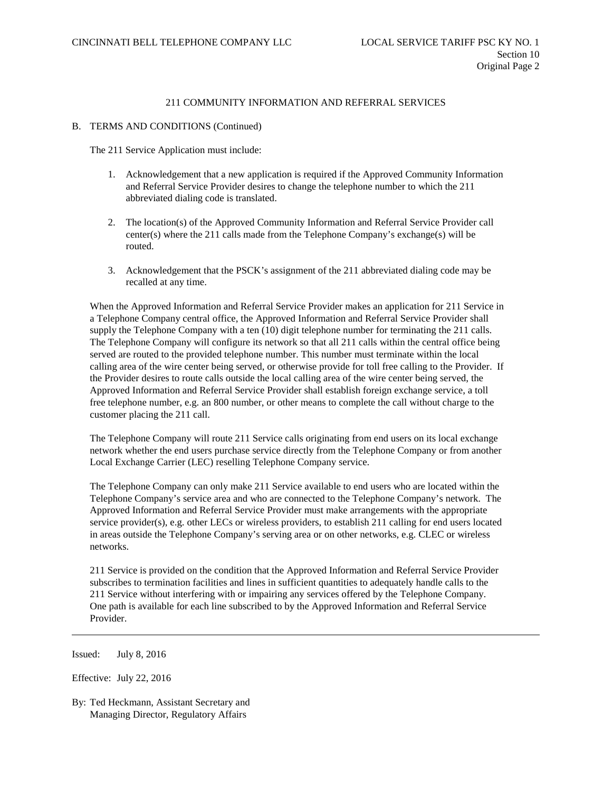#### B. TERMS AND CONDITIONS (Continued)

The 211 Service Application must include:

- 1. Acknowledgement that a new application is required if the Approved Community Information and Referral Service Provider desires to change the telephone number to which the 211 abbreviated dialing code is translated.
- 2. The location(s) of the Approved Community Information and Referral Service Provider call center(s) where the 211 calls made from the Telephone Company's exchange(s) will be routed.
- 3. Acknowledgement that the PSCK's assignment of the 211 abbreviated dialing code may be recalled at any time.

When the Approved Information and Referral Service Provider makes an application for 211 Service in a Telephone Company central office, the Approved Information and Referral Service Provider shall supply the Telephone Company with a ten (10) digit telephone number for terminating the 211 calls. The Telephone Company will configure its network so that all 211 calls within the central office being served are routed to the provided telephone number. This number must terminate within the local calling area of the wire center being served, or otherwise provide for toll free calling to the Provider. If the Provider desires to route calls outside the local calling area of the wire center being served, the Approved Information and Referral Service Provider shall establish foreign exchange service, a toll free telephone number, e.g. an 800 number, or other means to complete the call without charge to the customer placing the 211 call.

The Telephone Company will route 211 Service calls originating from end users on its local exchange network whether the end users purchase service directly from the Telephone Company or from another Local Exchange Carrier (LEC) reselling Telephone Company service.

The Telephone Company can only make 211 Service available to end users who are located within the Telephone Company's service area and who are connected to the Telephone Company's network. The Approved Information and Referral Service Provider must make arrangements with the appropriate service provider(s), e.g. other LECs or wireless providers, to establish 211 calling for end users located in areas outside the Telephone Company's serving area or on other networks, e.g. CLEC or wireless networks.

211 Service is provided on the condition that the Approved Information and Referral Service Provider subscribes to termination facilities and lines in sufficient quantities to adequately handle calls to the 211 Service without interfering with or impairing any services offered by the Telephone Company. One path is available for each line subscribed to by the Approved Information and Referral Service Provider.

Issued: July 8, 2016

Effective: July 22, 2016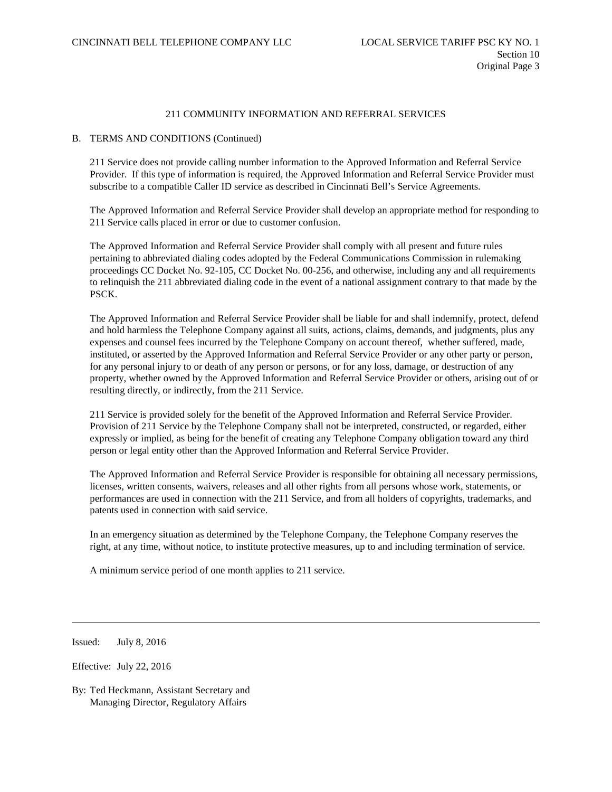### B. TERMS AND CONDITIONS (Continued)

211 Service does not provide calling number information to the Approved Information and Referral Service Provider. If this type of information is required, the Approved Information and Referral Service Provider must subscribe to a compatible Caller ID service as described in Cincinnati Bell's Service Agreements.

The Approved Information and Referral Service Provider shall develop an appropriate method for responding to 211 Service calls placed in error or due to customer confusion.

The Approved Information and Referral Service Provider shall comply with all present and future rules pertaining to abbreviated dialing codes adopted by the Federal Communications Commission in rulemaking proceedings CC Docket No. 92-105, CC Docket No. 00-256, and otherwise, including any and all requirements to relinquish the 211 abbreviated dialing code in the event of a national assignment contrary to that made by the PSCK.

The Approved Information and Referral Service Provider shall be liable for and shall indemnify, protect, defend and hold harmless the Telephone Company against all suits, actions, claims, demands, and judgments, plus any expenses and counsel fees incurred by the Telephone Company on account thereof, whether suffered, made, instituted, or asserted by the Approved Information and Referral Service Provider or any other party or person, for any personal injury to or death of any person or persons, or for any loss, damage, or destruction of any property, whether owned by the Approved Information and Referral Service Provider or others, arising out of or resulting directly, or indirectly, from the 211 Service.

211 Service is provided solely for the benefit of the Approved Information and Referral Service Provider. Provision of 211 Service by the Telephone Company shall not be interpreted, constructed, or regarded, either expressly or implied, as being for the benefit of creating any Telephone Company obligation toward any third person or legal entity other than the Approved Information and Referral Service Provider.

The Approved Information and Referral Service Provider is responsible for obtaining all necessary permissions, licenses, written consents, waivers, releases and all other rights from all persons whose work, statements, or performances are used in connection with the 211 Service, and from all holders of copyrights, trademarks, and patents used in connection with said service.

In an emergency situation as determined by the Telephone Company, the Telephone Company reserves the right, at any time, without notice, to institute protective measures, up to and including termination of service.

A minimum service period of one month applies to 211 service.

Issued: July 8, 2016

Effective: July 22, 2016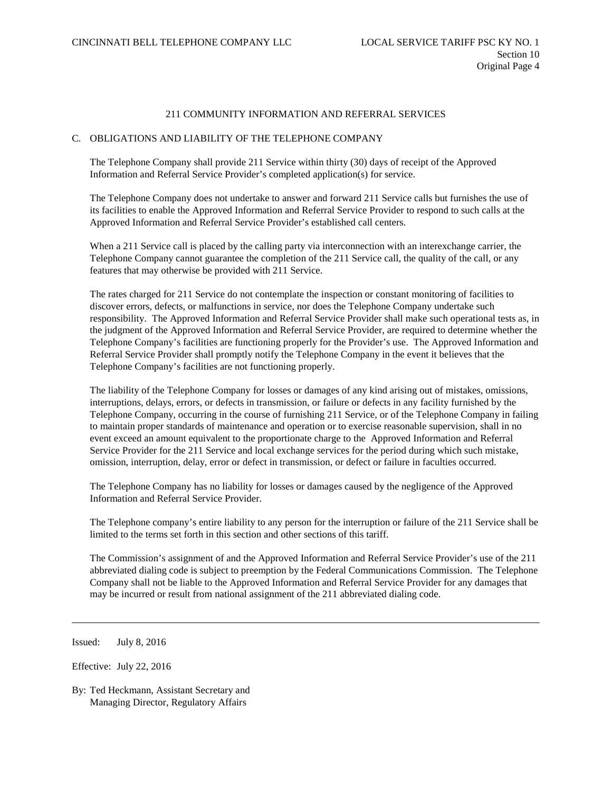### C. OBLIGATIONS AND LIABILITY OF THE TELEPHONE COMPANY

The Telephone Company shall provide 211 Service within thirty (30) days of receipt of the Approved Information and Referral Service Provider's completed application(s) for service.

The Telephone Company does not undertake to answer and forward 211 Service calls but furnishes the use of its facilities to enable the Approved Information and Referral Service Provider to respond to such calls at the Approved Information and Referral Service Provider's established call centers.

When a 211 Service call is placed by the calling party via interconnection with an interexchange carrier, the Telephone Company cannot guarantee the completion of the 211 Service call, the quality of the call, or any features that may otherwise be provided with 211 Service.

The rates charged for 211 Service do not contemplate the inspection or constant monitoring of facilities to discover errors, defects, or malfunctions in service, nor does the Telephone Company undertake such responsibility. The Approved Information and Referral Service Provider shall make such operational tests as, in the judgment of the Approved Information and Referral Service Provider, are required to determine whether the Telephone Company's facilities are functioning properly for the Provider's use. The Approved Information and Referral Service Provider shall promptly notify the Telephone Company in the event it believes that the Telephone Company's facilities are not functioning properly.

The liability of the Telephone Company for losses or damages of any kind arising out of mistakes, omissions, interruptions, delays, errors, or defects in transmission, or failure or defects in any facility furnished by the Telephone Company, occurring in the course of furnishing 211 Service, or of the Telephone Company in failing to maintain proper standards of maintenance and operation or to exercise reasonable supervision, shall in no event exceed an amount equivalent to the proportionate charge to the Approved Information and Referral Service Provider for the 211 Service and local exchange services for the period during which such mistake, omission, interruption, delay, error or defect in transmission, or defect or failure in faculties occurred.

The Telephone Company has no liability for losses or damages caused by the negligence of the Approved Information and Referral Service Provider.

The Telephone company's entire liability to any person for the interruption or failure of the 211 Service shall be limited to the terms set forth in this section and other sections of this tariff.

The Commission's assignment of and the Approved Information and Referral Service Provider's use of the 211 abbreviated dialing code is subject to preemption by the Federal Communications Commission. The Telephone Company shall not be liable to the Approved Information and Referral Service Provider for any damages that may be incurred or result from national assignment of the 211 abbreviated dialing code.

Issued: July 8, 2016

Effective: July 22, 2016